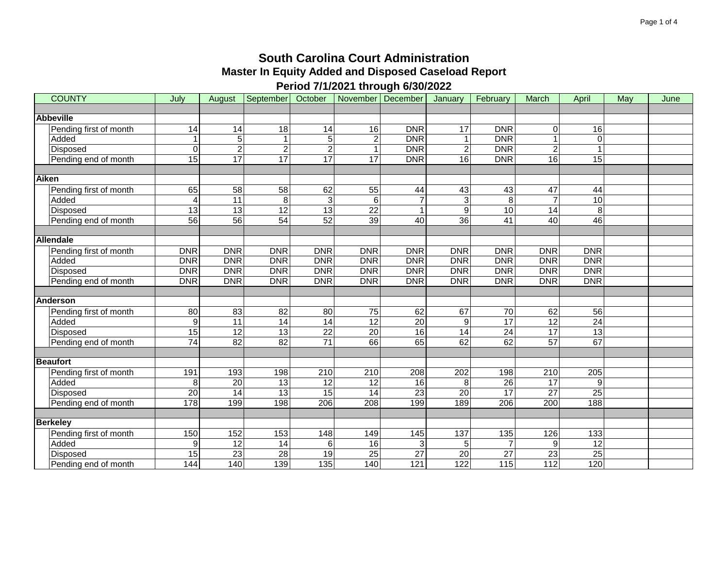| <b>COUNTY</b>          | July            | August          | September       | October         | November December |                 | January          | February         | March           | April           | May | June |
|------------------------|-----------------|-----------------|-----------------|-----------------|-------------------|-----------------|------------------|------------------|-----------------|-----------------|-----|------|
|                        |                 |                 |                 |                 |                   |                 |                  |                  |                 |                 |     |      |
| <b>Abbeville</b>       |                 |                 |                 |                 |                   |                 |                  |                  |                 |                 |     |      |
| Pending first of month | 14              | $\overline{14}$ | $\overline{18}$ | $\overline{14}$ | $\overline{16}$   | <b>DNR</b>      | $\overline{17}$  | <b>DNR</b>       | $\Omega$        | 16              |     |      |
| Added                  |                 | 5               | $\mathbf{1}$    | 5               | $\overline{c}$    | <b>DNR</b>      | 1                | DNR              | 1               | $\Omega$        |     |      |
| Disposed               | $\Omega$        | $\overline{2}$  | $\overline{c}$  | $\overline{2}$  | $\overline{1}$    | <b>DNR</b>      | $\overline{c}$   | DNR              | $\overline{2}$  | 1               |     |      |
| Pending end of month   | $\overline{15}$ | $\overline{17}$ | $\overline{17}$ | 17              | $\overline{17}$   | <b>DNR</b>      | $\overline{16}$  | <b>DNR</b>       | $\overline{16}$ | $\overline{15}$ |     |      |
|                        |                 |                 |                 |                 |                   |                 |                  |                  |                 |                 |     |      |
| <b>Aiken</b>           |                 |                 |                 |                 |                   |                 |                  |                  |                 |                 |     |      |
| Pending first of month | 65              | 58              | 58              | 62              | 55                | 44              | 43               | 43               | 47              | 44              |     |      |
| Added                  | 4               | $\overline{11}$ | $\,8\,$         | $\overline{3}$  | 6                 |                 | 3                | 8                | $\overline{7}$  | 10              |     |      |
| Disposed               | $\overline{13}$ | $\overline{13}$ | $\overline{12}$ | $\overline{13}$ | 22                |                 | $\overline{9}$   | 10               | $\overline{14}$ | 8               |     |      |
| Pending end of month   | $\overline{56}$ | 56              | $\overline{54}$ | 52              | $\overline{39}$   | 40              | 36               | 41               | 40              | $\overline{46}$ |     |      |
|                        |                 |                 |                 |                 |                   |                 |                  |                  |                 |                 |     |      |
| <b>Allendale</b>       |                 |                 |                 |                 |                   |                 |                  |                  |                 |                 |     |      |
| Pending first of month | <b>DNR</b>      | <b>DNR</b>      | <b>DNR</b>      | <b>DNR</b>      | <b>DNR</b>        | <b>DNR</b>      | <b>DNR</b>       | <b>DNR</b>       | <b>DNR</b>      | DNR             |     |      |
| Added                  | <b>DNR</b>      | <b>DNR</b>      | <b>DNR</b>      | <b>DNR</b>      | <b>DNR</b>        | <b>DNR</b>      | <b>DNR</b>       | <b>DNR</b>       | <b>DNR</b>      | DNR             |     |      |
| Disposed               | <b>DNR</b>      | <b>DNR</b>      | <b>DNR</b>      | <b>DNR</b>      | <b>DNR</b>        | <b>DNR</b>      | <b>DNR</b>       | <b>DNR</b>       | <b>DNR</b>      | <b>DNR</b>      |     |      |
| Pending end of month   | <b>DNR</b>      | <b>DNR</b>      | <b>DNR</b>      | <b>DNR</b>      | <b>DNR</b>        | <b>DNR</b>      | <b>DNR</b>       | <b>DNR</b>       | <b>DNR</b>      | DNR             |     |      |
|                        |                 |                 |                 |                 |                   |                 |                  |                  |                 |                 |     |      |
| <b>Anderson</b>        |                 |                 |                 |                 |                   |                 |                  |                  |                 |                 |     |      |
| Pending first of month | $\overline{80}$ | 83              | $\overline{82}$ | $\overline{80}$ | $\overline{75}$   | 62              | 67               | $\overline{70}$  | 62              | $\overline{56}$ |     |      |
| Added                  | 9               | $\overline{11}$ | 14              | $\overline{14}$ | 12                | $\overline{20}$ | $\overline{9}$   | $\overline{17}$  | $\overline{12}$ | $\overline{24}$ |     |      |
| Disposed               | $\overline{15}$ | $\overline{12}$ | $\overline{13}$ | $\overline{22}$ | $\overline{20}$   | 16              | $\overline{14}$  | $\overline{24}$  | $\overline{17}$ | $\overline{13}$ |     |      |
| Pending end of month   | $\overline{74}$ | 82              | $\overline{82}$ | $\overline{71}$ | 66                | 65              | 62               | 62               | 57              | 67              |     |      |
|                        |                 |                 |                 |                 |                   |                 |                  |                  |                 |                 |     |      |
| <b>Beaufort</b>        |                 |                 |                 |                 |                   |                 |                  |                  |                 |                 |     |      |
| Pending first of month | 191             | 193             | 198             | 210             | 210               | 208             | 202              | 198              | 210             | 205             |     |      |
| Added                  | 8               | 20              | $\overline{13}$ | 12              | $\overline{12}$   | $\overline{16}$ | 8                | $\overline{26}$  | 17              | 9               |     |      |
| Disposed               | 20              | 14              | 13              | 15              | 14                | 23              | 20               | 17               | 27              | 25              |     |      |
| Pending end of month   | 178             | 199             | 198             | 206             | $\overline{208}$  | 199             | 189              | $\overline{206}$ | 200             | 188             |     |      |
|                        |                 |                 |                 |                 |                   |                 |                  |                  |                 |                 |     |      |
| <b>Berkeley</b>        |                 |                 |                 |                 |                   |                 |                  |                  |                 |                 |     |      |
| Pending first of month | 150             | 152             | 153             | 148             | 149               | 145             | 137              | 135              | 126             | 133             |     |      |
| Added                  | 9               | $\overline{12}$ | 14              | 6               | 16                |                 | 5                | $\overline{7}$   | 9               | $\overline{12}$ |     |      |
| Disposed               | 15              | 23              | $\overline{28}$ | 19              | $\overline{25}$   | $\overline{27}$ | $\overline{20}$  | $\overline{27}$  | $\overline{23}$ | 25              |     |      |
| Pending end of month   | 144             | 140             | 139             | 135             | 140               | 121             | $\overline{122}$ | 115              | $\frac{11}{2}$  | 120             |     |      |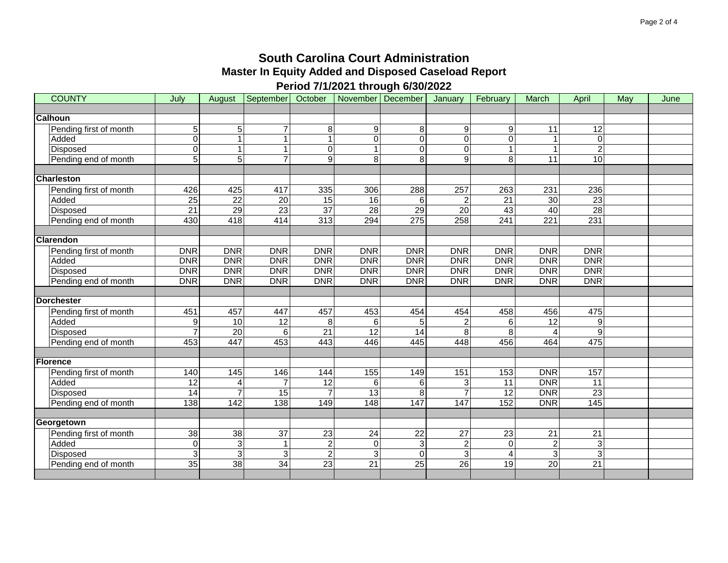| <b>COUNTY</b>          | July             | August          | September   October   November   December |                 |                 |                 | January         | February        | March           | April           | May | June |
|------------------------|------------------|-----------------|-------------------------------------------|-----------------|-----------------|-----------------|-----------------|-----------------|-----------------|-----------------|-----|------|
|                        |                  |                 |                                           |                 |                 |                 |                 |                 |                 |                 |     |      |
| <b>Calhoun</b>         |                  |                 |                                           |                 |                 |                 |                 |                 |                 |                 |     |      |
| Pending first of month | 5                | 5               | 7                                         | 8               | 9               | 8               | 9               | 9               | 11              | $\overline{12}$ |     |      |
| Added                  | $\Omega$         | $\overline{1}$  | 1                                         | 1               | $\Omega$        | $\Omega$        | $\mathbf 0$     | 0               |                 | $\Omega$        |     |      |
| Disposed               | $\Omega$         |                 | 1                                         | 0               |                 | $\overline{0}$  | 0               |                 |                 | $\overline{c}$  |     |      |
| Pending end of month   | $\overline{5}$   | 5               | 7                                         | $\overline{9}$  | 8               | 8               | 9               | 8               | 11              | 10              |     |      |
|                        |                  |                 |                                           |                 |                 |                 |                 |                 |                 |                 |     |      |
| <b>Charleston</b>      |                  |                 |                                           |                 |                 |                 |                 |                 |                 |                 |     |      |
| Pending first of month | 426              | 425             | 417                                       | 335             | 306             | 288             | 257             | 263             | 231             | 236             |     |      |
| Added                  | $\overline{25}$  | $\overline{22}$ | $\overline{20}$                           | $\overline{15}$ | 16              | 6               | $\overline{c}$  | $\overline{21}$ | 30              | 23              |     |      |
| Disposed               | $\overline{21}$  | 29              | 23                                        | $\overline{37}$ | $\overline{28}$ | $\overline{29}$ | $\overline{20}$ | $\overline{43}$ | 40              | $\overline{28}$ |     |      |
| Pending end of month   | 430              | 418             | 414                                       | 313             | 294             | 275             | 258             | 241             | 221             | 231             |     |      |
|                        |                  |                 |                                           |                 |                 |                 |                 |                 |                 |                 |     |      |
| <b>Clarendon</b>       |                  |                 |                                           |                 |                 |                 |                 |                 |                 |                 |     |      |
| Pending first of month | <b>DNR</b>       | <b>DNR</b>      | <b>DNR</b>                                | <b>DNR</b>      | <b>DNR</b>      | <b>DNR</b>      | <b>DNR</b>      | <b>DNR</b>      | DNR             | <b>DNR</b>      |     |      |
| Added                  | DNR              | DNR             | <b>DNR</b>                                | <b>DNR</b>      | <b>DNR</b>      | <b>DNR</b>      | <b>DNR</b>      | <b>DNR</b>      | DNR             | <b>DNR</b>      |     |      |
| Disposed               | <b>DNR</b>       | <b>DNR</b>      | <b>DNR</b>                                | <b>DNR</b>      | <b>DNR</b>      | <b>DNR</b>      | <b>DNR</b>      | <b>DNR</b>      | <b>DNR</b>      | <b>DNR</b>      |     |      |
| Pending end of month   | <b>DNR</b>       | <b>DNR</b>      | <b>DNR</b>                                | <b>DNR</b>      | <b>DNR</b>      | <b>DNR</b>      | <b>DNR</b>      | <b>DNR</b>      | <b>DNR</b>      | <b>DNR</b>      |     |      |
|                        |                  |                 |                                           |                 |                 |                 |                 |                 |                 |                 |     |      |
| Dorchester             |                  |                 |                                           |                 |                 |                 |                 |                 |                 |                 |     |      |
| Pending first of month | 451              | 457             | 447                                       | 457             | 453             | 454             | 454             | 458             | 456             | 475             |     |      |
| Added                  | 9                | 10              | 12                                        | 8               | 6               | 5               | 2               | 6               | 12              | 9               |     |      |
| Disposed               |                  | $\overline{20}$ | 6                                         | $\overline{21}$ | $\overline{12}$ | 14              | 8               | 8               |                 | 9               |     |      |
| Pending end of month   | 453              | 447             | 453                                       | 443             | 446             | 445             | 448             | 456             | 464             | 475             |     |      |
|                        |                  |                 |                                           |                 |                 |                 |                 |                 |                 |                 |     |      |
| <b>Florence</b>        |                  |                 |                                           |                 |                 |                 |                 |                 |                 |                 |     |      |
| Pending first of month | 140              | 145             | 146                                       | 144             | 155             | 149             | 151             | 153             | <b>DNR</b>      | 157             |     |      |
| Added                  | $\overline{12}$  | $\overline{4}$  | $\overline{7}$                            | 12              | 6               | 6               | 3               | $\overline{11}$ | <b>DNR</b>      | $\overline{11}$ |     |      |
| Disposed               | $\overline{14}$  |                 | $\overline{15}$                           | $\overline{7}$  | 13              | 8               | $\overline{7}$  | $\overline{12}$ | DNR             | $\overline{23}$ |     |      |
| Pending end of month   | $\overline{138}$ | 142             | 138                                       | 149             | 148             | 147             | 147             | 152             | <b>DNR</b>      | 145             |     |      |
|                        |                  |                 |                                           |                 |                 |                 |                 |                 |                 |                 |     |      |
| Georgetown             |                  |                 |                                           |                 |                 |                 |                 |                 |                 |                 |     |      |
| Pending first of month | 38               | 38              | 37                                        | 23              | 24              | 22              | 27              | 23              | 21              | 21              |     |      |
| Added                  | $\mathbf 0$      | 3               | $\mathbf{1}$                              | $\overline{2}$  | $\mathbf 0$     | 3               | $\overline{c}$  | 0               | $\overline{c}$  | 3               |     |      |
| Disposed               | 3                | 3               | $\overline{3}$                            | $\overline{2}$  | 3               | $\Omega$        | 3               | 4               | 3               | $\overline{3}$  |     |      |
| Pending end of month   | 35               | 38              | $\overline{34}$                           | $\overline{23}$ | 21              | $\overline{25}$ | $\overline{26}$ | $\overline{19}$ | $\overline{20}$ | $\overline{21}$ |     |      |
|                        |                  |                 |                                           |                 |                 |                 |                 |                 |                 |                 |     |      |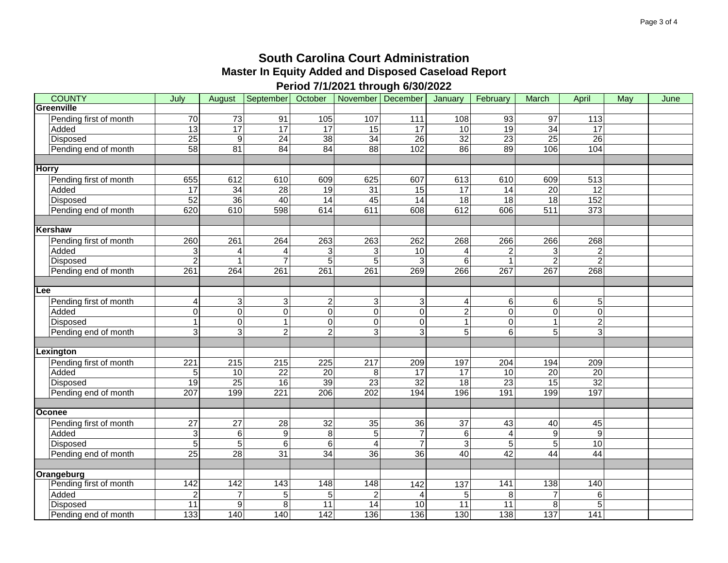| <b>COUNTY</b>          | July                    | August           | September        | October          | November   December |                     | January         | February                | March            | April            | May | June |
|------------------------|-------------------------|------------------|------------------|------------------|---------------------|---------------------|-----------------|-------------------------|------------------|------------------|-----|------|
| Greenville             |                         |                  |                  |                  |                     |                     |                 |                         |                  |                  |     |      |
| Pending first of month | $\overline{70}$         | $\overline{73}$  | $\overline{91}$  | 105              | 107                 | $\frac{111}{111}$   | 108             | $\overline{93}$         | $\overline{97}$  | $\frac{1}{13}$   |     |      |
| Added                  | 13                      | 17               | 17               | 17               | 15                  | 17                  | 10              | 19                      | 34               | 17               |     |      |
| Disposed               | $\overline{25}$         | $\boldsymbol{9}$ | 24               | $\overline{38}$  | 34                  | 26                  | $\overline{32}$ | 23                      | $\overline{25}$  | 26               |     |      |
| Pending end of month   | $\overline{58}$         | $\overline{81}$  | 84               | 84               | 88                  | 102                 | 86              | 89                      | 106              | 104              |     |      |
|                        |                         |                  |                  |                  |                     |                     |                 |                         |                  |                  |     |      |
| <b>Horry</b>           |                         |                  |                  |                  |                     |                     |                 |                         |                  |                  |     |      |
| Pending first of month | 655                     | 612              | 610              | 609              | 625                 | 607                 | 613             | 610                     | 609              | 513              |     |      |
| Added                  | 17                      | 34               | 28               | 19               | 31                  | 15                  | 17              | 14                      | $\overline{20}$  | 12               |     |      |
| <b>Disposed</b>        | 52                      | 36               | 40               | 14               | 45                  | 14                  | 18              | 18                      | $\overline{18}$  | 152              |     |      |
| Pending end of month   | 620                     | 610              | 598              | 614              | 611                 | 608                 | 612             | 606                     | $\overline{511}$ | $\overline{373}$ |     |      |
| Kershaw                |                         |                  |                  |                  |                     |                     |                 |                         |                  |                  |     |      |
| Pending first of month | 260                     | 261              | 264              | 263              | 263                 | 262                 | 268             | 266                     | 266              | 268              |     |      |
| Added                  | 3                       | 4                | 4                | 3                | 3                   | 10                  | 4               | $\overline{\mathbf{c}}$ | 3                | $\overline{c}$   |     |      |
| Disposed               | $\overline{c}$          | $\mathbf{1}$     | $\overline{7}$   | 5                | 5                   | 3                   | 6               |                         | $\overline{2}$   | $\overline{2}$   |     |      |
| Pending end of month   | 261                     | 264              | 261              | $\overline{261}$ | $\overline{261}$    | 269                 | 266             | $\overline{267}$        | $\overline{267}$ | 268              |     |      |
|                        |                         |                  |                  |                  |                     |                     |                 |                         |                  |                  |     |      |
| Lee                    |                         |                  |                  |                  |                     |                     |                 |                         |                  |                  |     |      |
| Pending first of month | $\overline{\mathbf{4}}$ | 3                | 3                | $\overline{c}$   | 3                   | 3                   | 4               | 6                       | 6                | 5                |     |      |
| Added                  | 0                       | $\overline{0}$   | $\boldsymbol{0}$ | 0                | $\Omega$            | 0                   | $\overline{2}$  | 0                       | $\mathbf 0$      | $\overline{0}$   |     |      |
| Disposed               | $\mathbf{1}$            | $\overline{0}$   | $\mathbf{1}$     | $\mathbf 0$      | $\mathbf 0$         | $\mathsf{O}\xspace$ | 1               | 0                       | 1                | $\overline{2}$   |     |      |
| Pending end of month   | 3                       | $\overline{3}$   | $\overline{2}$   | $\overline{2}$   | 3                   | 3                   | 5               | 6                       | 5                | 3                |     |      |
|                        |                         |                  |                  |                  |                     |                     |                 |                         |                  |                  |     |      |
| Lexington              |                         |                  |                  |                  |                     |                     |                 |                         |                  |                  |     |      |
| Pending first of month | 221                     | 215              | 215              | 225              | 217                 | 209                 | 197             | 204                     | 194              | 209              |     |      |
| Added                  | $\overline{5}$          | 10               | $\overline{22}$  | $\overline{20}$  | 8                   | $\overline{17}$     | $\overline{17}$ | 10                      | $\overline{20}$  | $\overline{20}$  |     |      |
| Disposed               | $\overline{19}$         | $\overline{25}$  | 16               | 39               | $\overline{23}$     | $\overline{32}$     | $\overline{18}$ | 23                      | 15               | $\overline{32}$  |     |      |
| Pending end of month   | 207                     | 199              | 221              | 206              | 202                 | 194                 | 196             | 191                     | 199              | 197              |     |      |
|                        |                         |                  |                  |                  |                     |                     |                 |                         |                  |                  |     |      |
| Oconee                 |                         |                  |                  |                  |                     |                     |                 |                         |                  |                  |     |      |
| Pending first of month | $\overline{27}$         | $\overline{27}$  | $\overline{28}$  | $\overline{32}$  | 35                  | $\overline{36}$     | 37              | 43                      | 40               | 45               |     |      |
| Added                  | 3                       | 6                | $\boldsymbol{9}$ | 8                | $\sqrt{5}$          | $\overline{7}$      | 6               | 4                       | 9                | 9                |     |      |
| Disposed               | $\sqrt{5}$              | $5\phantom{.0}$  | $\,6\,$          | $\,6$            | $\overline{4}$      | $\overline{7}$      | 3               | 5                       | 5                | 10               |     |      |
| Pending end of month   | $\overline{25}$         | 28               | 31               | 34               | $\overline{36}$     | 36                  | 40              | 42                      | 44               | 44               |     |      |
|                        |                         |                  |                  |                  |                     |                     |                 |                         |                  |                  |     |      |
| Orangeburg             |                         |                  |                  |                  |                     |                     |                 |                         |                  |                  |     |      |
| Pending first of month | 142                     | 142              | 143              | 148              | 148                 | 142                 | 137             | 141                     | 138              | 140              |     |      |
| Added                  | $\overline{c}$          | 7                | 5                | 5                | $\overline{2}$      |                     | 5               | 8                       | 7                | 6                |     |      |
| Disposed               | 11                      | $\boldsymbol{9}$ | 8                | 11               | 14                  | 10                  | 11              | 11                      | 8                | 5                |     |      |
| Pending end of month   | 133                     | 140              | 140              | 142              | 136                 | 136                 | 130             | 138                     | 137              | 141              |     |      |